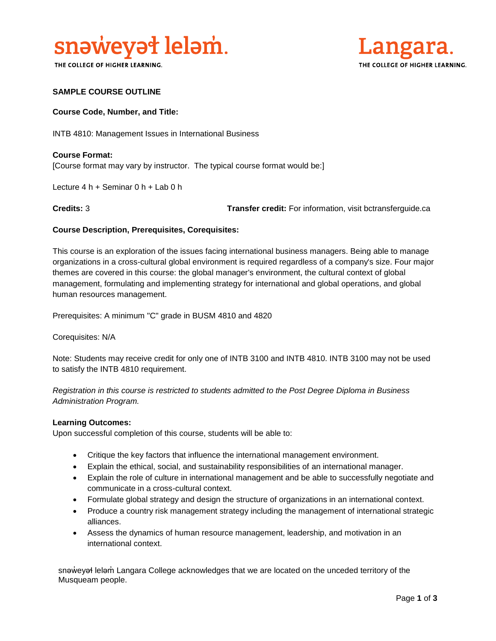

THE COLLEGE OF HIGHER LEARNING.



#### **SAMPLE COURSE OUTLINE**

#### **Course Code, Number, and Title:**

INTB 4810: Management Issues in International Business

**Course Format:** [Course format may vary by instructor. The typical course format would be:]

Lecture 4 h + Seminar 0 h + Lab 0 h

**Credits:** 3 **Transfer credit:** For information, visit bctransferguide.ca

### **Course Description, Prerequisites, Corequisites:**

This course is an exploration of the issues facing international business managers. Being able to manage organizations in a cross-cultural global environment is required regardless of a company's size. Four major themes are covered in this course: the global manager's environment, the cultural context of global management, formulating and implementing strategy for international and global operations, and global human resources management.

Prerequisites: A minimum "C" grade in BUSM 4810 and 4820

Corequisites: N/A

Note: Students may receive credit for only one of INTB 3100 and INTB 4810. INTB 3100 may not be used to satisfy the INTB 4810 requirement.

*Registration in this course is restricted to students admitted to the Post Degree Diploma in Business Administration Program.*

#### **Learning Outcomes:**

Upon successful completion of this course, students will be able to:

- Critique the key factors that influence the international management environment.
- Explain the ethical, social, and sustainability responsibilities of an international manager.
- Explain the role of culture in international management and be able to successfully negotiate and communicate in a cross-cultural context.
- Formulate global strategy and design the structure of organizations in an international context.
- Produce a country risk management strategy including the management of international strategic alliances.
- Assess the dynamics of human resource management, leadership, and motivation in an international context.

snəweyał leləm Langara College acknowledges that we are located on the unceded territory of the Musqueam people.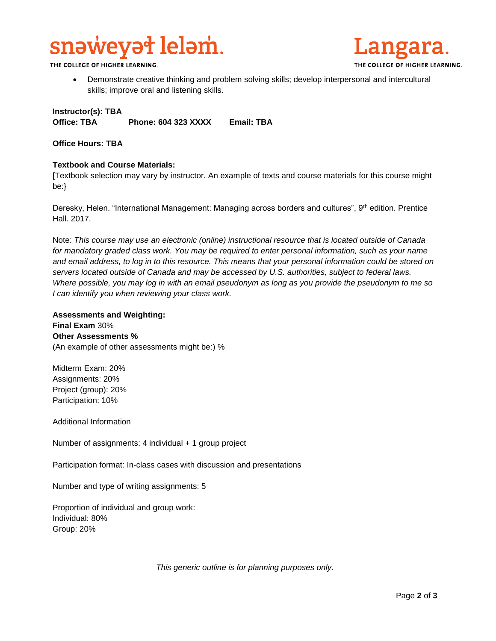# snaweyat lelam.

THE COLLEGE OF HIGHER LEARNING.

 Demonstrate creative thinking and problem solving skills; develop interpersonal and intercultural skills; improve oral and listening skills.

## **Instructor(s): TBA Office: TBA Phone: 604 323 XXXX Email: TBA**

#### **Office Hours: TBA**

### **Textbook and Course Materials:**

[Textbook selection may vary by instructor. An example of texts and course materials for this course might be:}

Deresky, Helen. "International Management: Managing across borders and cultures", 9<sup>th</sup> edition. Prentice Hall. 2017.

Note: *This course may use an electronic (online) instructional resource that is located outside of Canada*  for mandatory graded class work. You may be required to enter personal information, such as your name *and email address, to log in to this resource. This means that your personal information could be stored on servers located outside of Canada and may be accessed by U.S. authorities, subject to federal laws. Where possible, you may log in with an email pseudonym as long as you provide the pseudonym to me so I can identify you when reviewing your class work.* 

#### **Assessments and Weighting:**

**Final Exam** 30% **Other Assessments %** (An example of other assessments might be:) %

Midterm Exam: 20% Assignments: 20% Project (group): 20% Participation: 10%

Additional Information

Number of assignments: 4 individual + 1 group project

Participation format: In-class cases with discussion and presentations

Number and type of writing assignments: 5

Proportion of individual and group work: Individual: 80% Group: 20%

*This generic outline is for planning purposes only.*